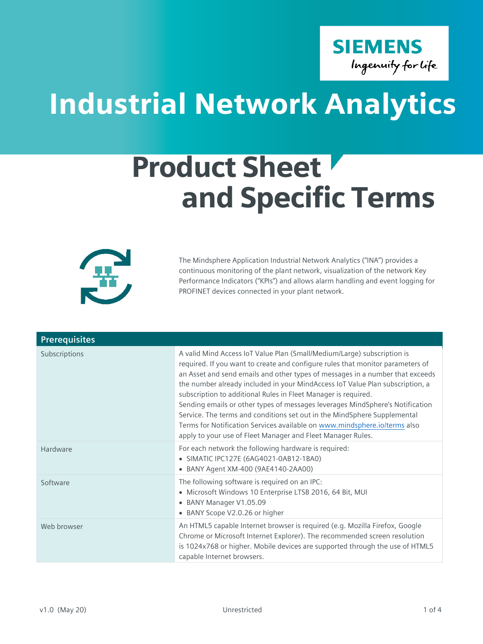**SIEMENS** Ingenuity for life

## Industrial Network Analytics

## Product Sheet and Specific Terms



The Mindsphere Application Industrial Network Analytics ("INA") provides a continuous monitoring of the plant network, visualization of the network Key Performance Indicators ("KPIs") and allows alarm handling and event logging for PROFINET devices connected in your plant network.

| <b>Prerequisites</b> |                                                                                                                                                                                                                                                                                                                                                                                                                                                                                                                                                                                                                                                                                                        |
|----------------------|--------------------------------------------------------------------------------------------------------------------------------------------------------------------------------------------------------------------------------------------------------------------------------------------------------------------------------------------------------------------------------------------------------------------------------------------------------------------------------------------------------------------------------------------------------------------------------------------------------------------------------------------------------------------------------------------------------|
| Subscriptions        | A valid Mind Access IoT Value Plan (Small/Medium/Large) subscription is<br>required. If you want to create and configure rules that monitor parameters of<br>an Asset and send emails and other types of messages in a number that exceeds<br>the number already included in your MindAccess IoT Value Plan subscription, a<br>subscription to additional Rules in Fleet Manager is required.<br>Sending emails or other types of messages leverages MindSphere's Notification<br>Service. The terms and conditions set out in the MindSphere Supplemental<br>Terms for Notification Services available on www.mindsphere.io/terms also<br>apply to your use of Fleet Manager and Fleet Manager Rules. |
| Hardware             | For each network the following hardware is required:<br>• SIMATIC IPC127E (6AG4021-0AB12-1BA0)<br>• BANY Agent XM-400 (9AE4140-2AA00)                                                                                                                                                                                                                                                                                                                                                                                                                                                                                                                                                                  |
| Software             | The following software is required on an IPC:<br>· Microsoft Windows 10 Enterprise LTSB 2016, 64 Bit, MUI<br>• BANY Manager V1.05.09<br>• BANY Scope V2.0.26 or higher                                                                                                                                                                                                                                                                                                                                                                                                                                                                                                                                 |
| Web browser          | An HTML5 capable Internet browser is required (e.g. Mozilla Firefox, Google<br>Chrome or Microsoft Internet Explorer). The recommended screen resolution<br>is 1024x768 or higher. Mobile devices are supported through the use of HTML5<br>capable Internet browsers.                                                                                                                                                                                                                                                                                                                                                                                                                                 |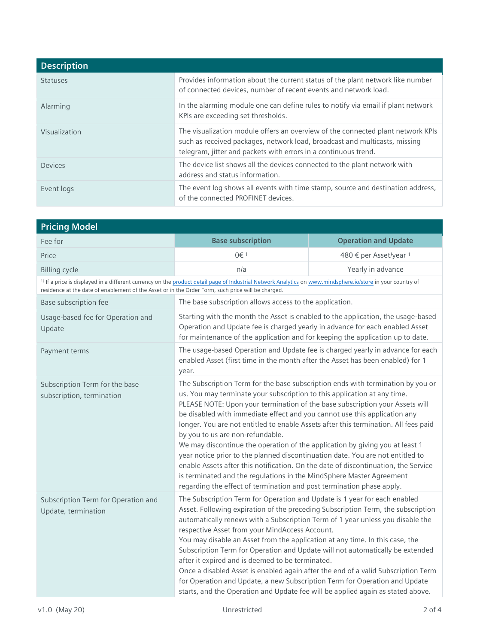| <b>Description</b> |                                                                                                                                                                                                                                  |
|--------------------|----------------------------------------------------------------------------------------------------------------------------------------------------------------------------------------------------------------------------------|
| <b>Statuses</b>    | Provides information about the current status of the plant network like number<br>of connected devices, number of recent events and network load.                                                                                |
| Alarming           | In the alarming module one can define rules to notify via email if plant network<br>KPIs are exceeding set thresholds.                                                                                                           |
| Visualization      | The visualization module offers an overview of the connected plant network KPIs<br>such as received packages, network load, broadcast and multicasts, missing<br>telegram, jitter and packets with errors in a continuous trend. |
| Devices            | The device list shows all the devices connected to the plant network with<br>address and status information.                                                                                                                     |
| Event logs         | The event log shows all events with time stamp, source and destination address,<br>of the connected PROFINET devices.                                                                                                            |

| <b>Pricing Model</b>                                                                                                                                                                                                                                                         |                                                                                                                                                                                                                                                                                                                                                                                                                                                                                                                                                                                                                                                                                                                                                                                                                                                              |                             |
|------------------------------------------------------------------------------------------------------------------------------------------------------------------------------------------------------------------------------------------------------------------------------|--------------------------------------------------------------------------------------------------------------------------------------------------------------------------------------------------------------------------------------------------------------------------------------------------------------------------------------------------------------------------------------------------------------------------------------------------------------------------------------------------------------------------------------------------------------------------------------------------------------------------------------------------------------------------------------------------------------------------------------------------------------------------------------------------------------------------------------------------------------|-----------------------------|
| Fee for                                                                                                                                                                                                                                                                      | <b>Base subscription</b>                                                                                                                                                                                                                                                                                                                                                                                                                                                                                                                                                                                                                                                                                                                                                                                                                                     | <b>Operation and Update</b> |
| Price                                                                                                                                                                                                                                                                        | 0€ 1                                                                                                                                                                                                                                                                                                                                                                                                                                                                                                                                                                                                                                                                                                                                                                                                                                                         | 480 € per Asset/year 1      |
| <b>Billing cycle</b>                                                                                                                                                                                                                                                         | n/a                                                                                                                                                                                                                                                                                                                                                                                                                                                                                                                                                                                                                                                                                                                                                                                                                                                          | Yearly in advance           |
| <sup>1)</sup> If a price is displayed in a different currency on the product detail page of Industrial Network Analytics on www.mindsphere.io/store in your country of<br>residence at the date of enablement of the Asset or in the Order Form, such price will be charged. |                                                                                                                                                                                                                                                                                                                                                                                                                                                                                                                                                                                                                                                                                                                                                                                                                                                              |                             |
| Base subscription fee                                                                                                                                                                                                                                                        | The base subscription allows access to the application.                                                                                                                                                                                                                                                                                                                                                                                                                                                                                                                                                                                                                                                                                                                                                                                                      |                             |
| Usage-based fee for Operation and<br>Update                                                                                                                                                                                                                                  | Starting with the month the Asset is enabled to the application, the usage-based<br>Operation and Update fee is charged yearly in advance for each enabled Asset<br>for maintenance of the application and for keeping the application up to date.                                                                                                                                                                                                                                                                                                                                                                                                                                                                                                                                                                                                           |                             |
| Payment terms                                                                                                                                                                                                                                                                | The usage-based Operation and Update fee is charged yearly in advance for each<br>enabled Asset (first time in the month after the Asset has been enabled) for 1<br>year.                                                                                                                                                                                                                                                                                                                                                                                                                                                                                                                                                                                                                                                                                    |                             |
| Subscription Term for the base<br>subscription, termination                                                                                                                                                                                                                  | The Subscription Term for the base subscription ends with termination by you or<br>us. You may terminate your subscription to this application at any time.<br>PLEASE NOTE: Upon your termination of the base subscription your Assets will<br>be disabled with immediate effect and you cannot use this application any<br>longer. You are not entitled to enable Assets after this termination. All fees paid<br>by you to us are non-refundable.<br>We may discontinue the operation of the application by giving you at least 1<br>year notice prior to the planned discontinuation date. You are not entitled to<br>enable Assets after this notification. On the date of discontinuation, the Service<br>is terminated and the regulations in the MindSphere Master Agreement<br>regarding the effect of termination and post termination phase apply. |                             |
| Subscription Term for Operation and<br>Update, termination                                                                                                                                                                                                                   | The Subscription Term for Operation and Update is 1 year for each enabled<br>Asset. Following expiration of the preceding Subscription Term, the subscription<br>automatically renews with a Subscription Term of 1 year unless you disable the<br>respective Asset from your MindAccess Account.<br>You may disable an Asset from the application at any time. In this case, the<br>Subscription Term for Operation and Update will not automatically be extended<br>after it expired and is deemed to be terminated.<br>Once a disabled Asset is enabled again after the end of a valid Subscription Term<br>for Operation and Update, a new Subscription Term for Operation and Update<br>starts, and the Operation and Update fee will be applied again as stated above.                                                                                 |                             |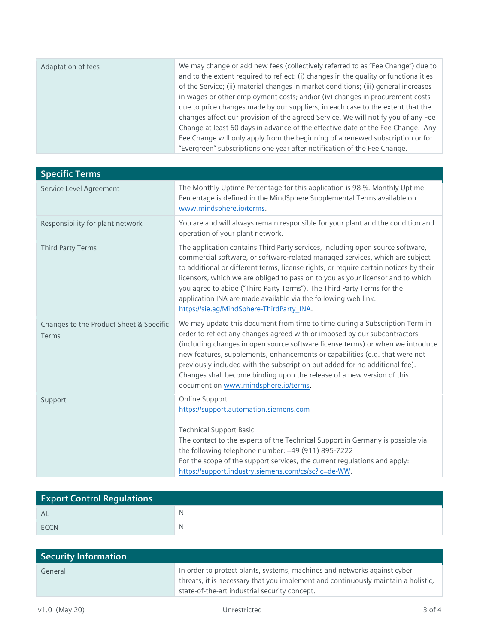| Adaptation of fees | We may change or add new fees (collectively referred to as "Fee Change") due to<br>and to the extent required to reflect: (i) changes in the quality or functionalities<br>of the Service; (ii) material changes in market conditions; (iii) general increases<br>in wages or other employment costs; and/or (iv) changes in procurement costs<br>due to price changes made by our suppliers, in each case to the extent that the |
|--------------------|-----------------------------------------------------------------------------------------------------------------------------------------------------------------------------------------------------------------------------------------------------------------------------------------------------------------------------------------------------------------------------------------------------------------------------------|
|                    | changes affect our provision of the agreed Service. We will notify you of any Fee                                                                                                                                                                                                                                                                                                                                                 |
|                    | Change at least 60 days in advance of the effective date of the Fee Change. Any                                                                                                                                                                                                                                                                                                                                                   |
|                    | Fee Change will only apply from the beginning of a renewed subscription or for                                                                                                                                                                                                                                                                                                                                                    |
|                    | "Evergreen" subscriptions one year after notification of the Fee Change.                                                                                                                                                                                                                                                                                                                                                          |

| <b>Specific Terms</b>                            |                                                                                                                                                                                                                                                                                                                                                                                                                                                                                                                                      |
|--------------------------------------------------|--------------------------------------------------------------------------------------------------------------------------------------------------------------------------------------------------------------------------------------------------------------------------------------------------------------------------------------------------------------------------------------------------------------------------------------------------------------------------------------------------------------------------------------|
| Service Level Agreement                          | The Monthly Uptime Percentage for this application is 98 %. Monthly Uptime<br>Percentage is defined in the MindSphere Supplemental Terms available on<br>www.mindsphere.io/terms.                                                                                                                                                                                                                                                                                                                                                    |
| Responsibility for plant network                 | You are and will always remain responsible for your plant and the condition and<br>operation of your plant network.                                                                                                                                                                                                                                                                                                                                                                                                                  |
| <b>Third Party Terms</b>                         | The application contains Third Party services, including open source software,<br>commercial software, or software-related managed services, which are subject<br>to additional or different terms, license rights, or require certain notices by their<br>licensors, which we are obliged to pass on to you as your licensor and to which<br>you agree to abide ("Third Party Terms"). The Third Party Terms for the<br>application INA are made available via the following web link:<br>https://sie.ag/MindSphere-ThirdParty_INA. |
| Changes to the Product Sheet & Specific<br>Terms | We may update this document from time to time during a Subscription Term in<br>order to reflect any changes agreed with or imposed by our subcontractors<br>(including changes in open source software license terms) or when we introduce<br>new features, supplements, enhancements or capabilities (e.g. that were not<br>previously included with the subscription but added for no additional fee).<br>Changes shall become binding upon the release of a new version of this<br>document on www.mindsphere.io/terms.           |
| Support                                          | Online Support<br>https://support.automation.siemens.com<br><b>Technical Support Basic</b><br>The contact to the experts of the Technical Support in Germany is possible via<br>the following telephone number: +49 (911) 895-7222<br>For the scope of the support services, the current regulations and apply:<br>https://support.industry.siemens.com/cs/sc?lc=de-WW.                                                                                                                                                              |

| <b>Export Control Regulations</b> |   |
|-----------------------------------|---|
| <b>AL</b>                         | N |
| <b>FCCN</b>                       | N |

| Security Information |                                                                                                                                                                                                                |
|----------------------|----------------------------------------------------------------------------------------------------------------------------------------------------------------------------------------------------------------|
| General              | In order to protect plants, systems, machines and networks against cyber<br>threats, it is necessary that you implement and continuously maintain a holistic,<br>state-of-the-art industrial security concept. |